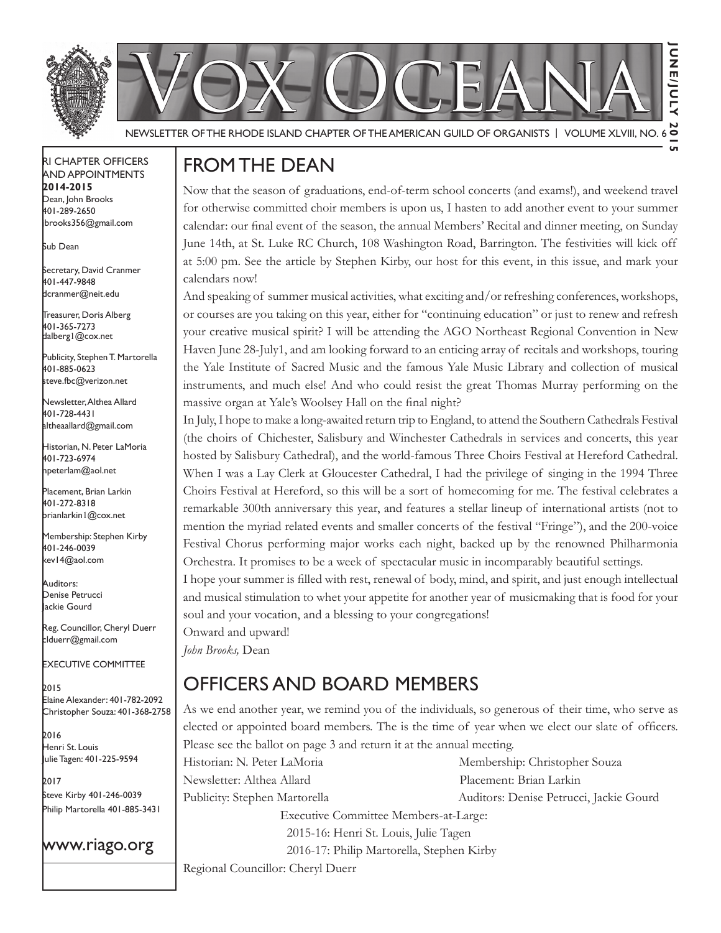

RI Chapter Officers and Appointments **2014-2015** Dean, John Brooks 401-289-2650 jbrooks356@gmail.com

Sub Dean

Secretary, David Cranmer 401-447-9848 dcranmer@neit.edu

Treasurer, Doris Alberg 401-365-7273 dalberg1@cox.net I

Publicity, Stephen T. Martorella 401-885-0623 steve.fbc@verizon.net

Newsletter, Althea Allard 401-728-4431 altheaallard@gmail.com

Historian, N. Peter LaMoria 401-723-6974 npeterlam@aol.net

Placement, Brian Larkin 401-272-8318 brianlarkin1@cox.net

Membership: Stephen Kirby 401-246-0039 kev14@aol.com

Auditors: Denise Petrucci Jackie Gourd

Reg. Councillor, Cheryl Duerr clduerr@gmail.com

Executive Committee

2015 Elaine Alexander: 401-782-2092 Christopher Souza: 401-368-2758

2016 Henri St. Louis ulie Tagen: 401-225-9594

2017 Steve Kirby 401-246-0039 Philip Martorella 401-885-3431

### www.riago.org

# From the Dean

Now that the season of graduations, end-of-term school concerts (and exams!), and weekend travel for otherwise committed choir members is upon us, I hasten to add another event to your summer calendar: our final event of the season, the annual Members' Recital and dinner meeting, on Sunday June 14th, at St. Luke RC Church, 108 Washington Road, Barrington. The festivities will kick off at 5:00 pm. See the article by Stephen Kirby, our host for this event, in this issue, and mark your calendars now!

And speaking of summer musical activities, what exciting and/or refreshing conferences, workshops, or courses are you taking on this year, either for "continuing education" or just to renew and refresh your creative musical spirit? I will be attending the AGO Northeast Regional Convention in New Haven June 28-July1, and am looking forward to an enticing array of recitals and workshops, touring the Yale Institute of Sacred Music and the famous Yale Music Library and collection of musical instruments, and much else! And who could resist the great Thomas Murray performing on the massive organ at Yale's Woolsey Hall on the final night?

In July, I hope to make a long-awaited return trip to England, to attend the Southern Cathedrals Festival (the choirs of Chichester, Salisbury and Winchester Cathedrals in services and concerts, this year hosted by Salisbury Cathedral), and the world-famous Three Choirs Festival at Hereford Cathedral. When I was a Lay Clerk at Gloucester Cathedral, I had the privilege of singing in the 1994 Three Choirs Festival at Hereford, so this will be a sort of homecoming for me. The festival celebrates a remarkable 300th anniversary this year, and features a stellar lineup of international artists (not to mention the myriad related events and smaller concerts of the festival "Fringe"), and the 200-voice Festival Chorus performing major works each night, backed up by the renowned Philharmonia Orchestra. It promises to be a week of spectacular music in incomparably beautiful settings.

I hope your summer is filled with rest, renewal of body, mind, and spirit, and just enough intellectual and musical stimulation to whet your appetite for another year of musicmaking that is food for your soul and your vocation, and a blessing to your congregations!

Onward and upward! *John Brooks,* Dean

# Officers and Board Members

As we end another year, we remind you of the individuals, so generous of their time, who serve as elected or appointed board members. The is the time of year when we elect our slate of officers. Please see the ballot on page 3 and return it at the annual meeting.

Newsletter: Althea Allard Placement: Brian Larkin

Historian: N. Peter LaMoria Membership: Christopher Souza Publicity: Stephen Martorella Auditors: Denise Petrucci, Jackie Gourd

> Executive Committee Members-at-Large: 2015-16: Henri St. Louis, Julie Tagen

2016-17: Philip Martorella, Stephen Kirby

Regional Councillor: Cheryl Duerr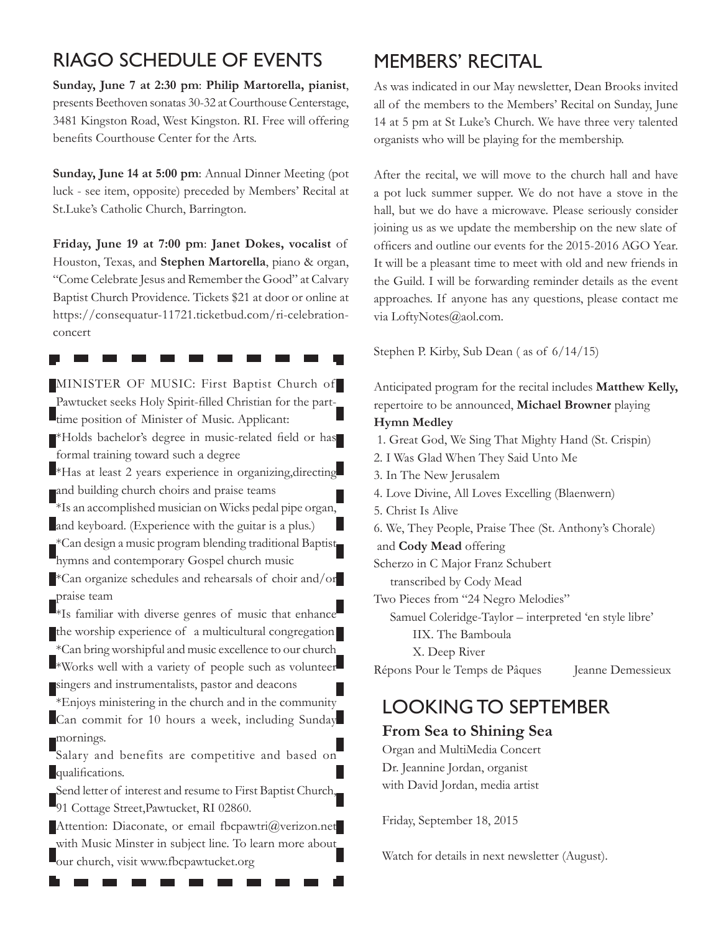## RIAGO Schedule of Events

**Sunday, June 7 at 2:30 pm**: **Philip Martorella, pianist**, presents Beethoven sonatas 30-32 at Courthouse Centerstage, 3481 Kingston Road, West Kingston. RI. Free will offering benefits Courthouse Center for the Arts.

**Sunday, June 14 at 5:00 pm**: Annual Dinner Meeting (pot luck - see item, opposite) preceded by Members' Recital at St.Luke's Catholic Church, Barrington.

**Friday, June 19 at 7:00 pm**: **Janet Dokes, vocalist** of Houston, Texas, and **Stephen Martorella**, piano & organ, "Come Celebrate Jesus and Remember the Good" at Calvary Baptist Church Providence. Tickets \$21 at door or online at https://consequatur-11721.ticketbud.com/ri-celebrationconcert

MINISTER OF MUSIC: First Baptist Church of Pawtucket seeks Holy Spirit-filled Christian for the parttime position of Minister of Music. Applicant: \*Holds bachelor's degree in music-related field or has formal training toward such a degree \*Has at least 2 years experience in organizing,directing and building church choirs and praise teams \*Is an accomplished musician on Wicks pedal pipe organ, and keyboard. (Experience with the guitar is a plus.) \*Can design a music program blending traditional Baptist hymns and contemporary Gospel church music \*Can organize schedules and rehearsals of choir and/or praise team **\***Is familiar with diverse genres of music that enhance the worship experience of a multicultural congregation \*Can bring worshipful and music excellence to our church \*Works well with a variety of people such as volunteer singers and instrumentalists, pastor and deacons \*Enjoys ministering in the church and in the community Can commit for 10 hours a week, including Sunday mornings. Salary and benefits are competitive and based on qualifications. Send letter of interest and resume to First Baptist Church, 91 Cottage Street, Pawtucket, RI 02860.

Attention: Diaconate, or email fbcpawtri@verizon.net with Music Minster in subject line. To learn more about **Lour church, visit www.fbcpawtucket.org** 

<u> El estado en la pro</u>

# Members' Recital

As was indicated in our May newsletter, Dean Brooks invited all of the members to the Members' Recital on Sunday, June 14 at 5 pm at St Luke's Church. We have three very talented organists who will be playing for the membership.

After the recital, we will move to the church hall and have a pot luck summer supper. We do not have a stove in the hall, but we do have a microwave. Please seriously consider joining us as we update the membership on the new slate of officers and outline our events for the 2015-2016 AGO Year. It will be a pleasant time to meet with old and new friends in the Guild. I will be forwarding reminder details as the event approaches. If anyone has any questions, please contact me via LoftyNotes@aol.com.

Stephen P. Kirby, Sub Dean ( as of 6/14/15)

Anticipated program for the recital includes **Matthew Kelly,**  repertoire to be announced, **Michael Browner** playing **Hymn Medley**

1. Great God, We Sing That Mighty Hand (St. Crispin)

2. I Was Glad When They Said Unto Me

- 3. In The New Jerusalem
- 4. Love Divine, All Loves Excelling (Blaenwern)
- 5. Christ Is Alive
- 6. We, They People, Praise Thee (St. Anthony's Chorale)
- and **Cody Mead** offering
- Scherzo in C Major Franz Schubert transcribed by Cody Mead

Two Pieces from "24 Negro Melodies"

 Samuel Coleridge-Taylor – interpreted 'en style libre' IIX. The Bamboula

X. Deep River

Répons Pour le Temps de Pâques Jeanne Demessieux

# Looking to September

### **From Sea to Shining Sea**

Organ and MultiMedia Concert Dr. Jeannine Jordan, organist with David Jordan, media artist

Friday, September 18, 2015

Watch for details in next newsletter (August).